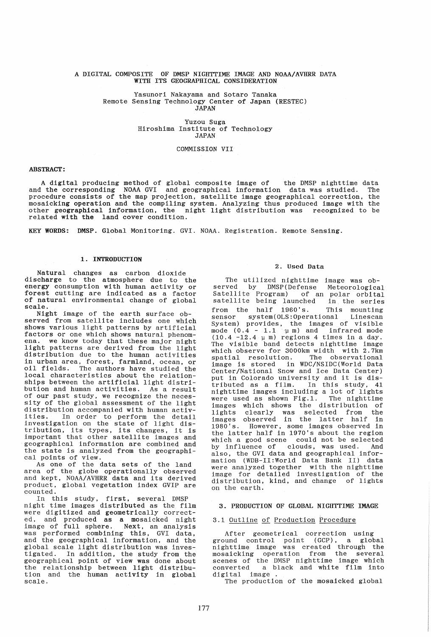#### A DIGITAL COMPOSITE OF DMSP NIGHTTIME IMAGE AND NOAA/AVHRR DATA WITH ITS GEOGRAPHICAL CONSIDERATION

#### Yasunori Nakayama and Sotaro Tanaka Remote Sensing Technology Center of Japan (RESTEC) JAPAN

Yuzou Suga Hiroshima Institute of Technology JAPAN

#### COMMISSION VII

#### ABSTRACT:

A digital producing method of global composite image of the DMSP nighttime data and the corresponding NOAA GVI and geographical information data was studied. The procedure consists of the map projection. satellite image geographical correction. the mosaicking operation and the compiling system. Analyzing thus produced image with the other geographical information, the night light distribution was recognized to be related with the land cover condition.

KEY WORDS: DMSP. Global Monitoring. GVI. NOAA. Registration. Remote Sensing.

#### 1. INTRODUCTION

Natural changes as carbon dioxide discharge to the atmosphere due to the energy consumption with human activity or forest cutting are indicated as a factor of natural environmental change of global scale.

Night image of the earth surface observed from satellite includes one which shows various light patterns by artificial<br>factors or one which shows natural phenomfactors or one which shows natural phenom- ena. we know today that these major night light patterns are derived from the light distribution due to the human activities in urban area, forest, farmland, ocean, or oil fields. The authors have studied the local characteristics about the relationships between the artificial light distribution and human activities. As a result of our past study, we recognize the necessity of the global assessment of the light distribution accompanied with human activdiversity accompanied with naman activities. In order to perform the detail investigation on the state of light distribution, its types, its changes, it is important that other satellite images and geographical information are combined and the state is analyzed from the geographical points of view.

As one of the data sets of the land area of the globe operationally observed and kept, NOAA/AVHRR data and its derived product. global vegetation index GVIP are counted.

In this study, first, several DMSP night time images distributed as the film were digitized and geometrically corrected, and produced as a mosaicked night image of full sphere. Next. an analysis was performed combining this, GVI data, and the geographical information, and the global scale light distribution was investigated. In addition, the study from the geographical point of view was done about the relationship between light distribution and the human activity in global scale.

#### 2. Used Data

The utilized nighttime image was observed by DMSP(Defense Meteorological Satellite Program) of an polar orbital satellite being launched in the series from the half 1960's. This mounting sensor system(OLS:Operational System) provides, the images of visible mode  $(0.4 - 1.1 \pm m)$  and infrared mode  $(10.4 - 12.4 \mu m)$  regions 4 times in a day. The visible band detects nighttime image which observe for 3000km width with 2.7km spatial resolution. The observational image is stored in WDC/NSIDC(World Data Center/National Snow and Ice Data Center) put in Colorado university and it is distributed as a film. In this study, 41 nighttime images including a lot of lights were used as shown  $Fig.1$ . The nighttime images which shows the distribution of lights clearly was selected from the images observed in the latter half in 1980's. However, some images observed in the latter half in 1970's about the region which a good scene could not be selected by influence of clouds, was used. And also, the GVI data and geographical information (WDB-II:World Data Bank II) data were analyzed together with the nighttime image for detailed investigation of the distribution. kind, and change of lights on the earth.

#### 3. PRODUCTION OF GLOBAL NIGHTTIME IMAGE

## 3.1 Outline of Production Procedure

After geometrical correction using ground control point (GCP), a global nighttime image was created through the mosaicking operation from the several scenes of the DMSP nighttime image which converted a black and white film into digital image.

The production of the mosaicked global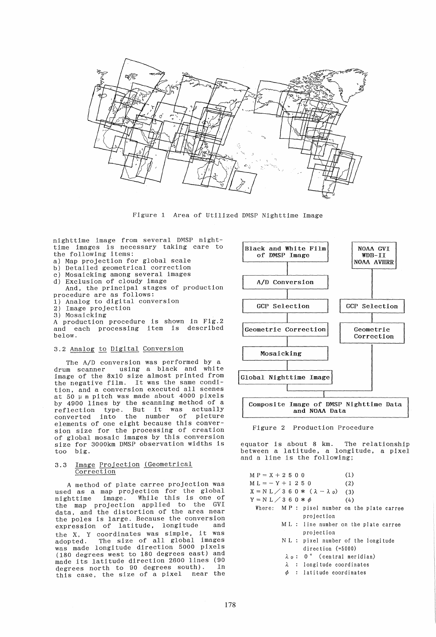

Figure 1 Area of Utilized DMSP Nighttime Image

nighttime image from several DMSP nighttime images is necessary taking care to the following items:

- a) Map projection for global scale
- b) Detailed geometrical correction
- c) Mosaicking among several images
- d) Exclusion of cloudy image And, the principal stages of production
- procedure are as follows:
- 1) Analog to digital conversion
- 2) Image projection
- 3) Mosaicking

A production procedure is shown in Fig.2 and each processing item is described below.

#### 3.2 Analog to Digital Conversion

The *A/D* conversion was performed by a<br>mm scanner using a black and white drum scanner using a black and image of the 8x10 size almost printed from the negative film. It was the same condition, and a conversion executed all scenes at  $50 \text{ µ m}$  pitch was made about 4000 pixels by 4900 lines by the scanning method of a by 4900 lines by the scanning method of a<br>reflection type. But it was actually converted into the number of picture elements of one eight because this conversion size for the processing of creation of global mosaic images by this conversion size for 3000km DMSP observation widths is too big.

#### 3.3 Image Projection (Geometrical Correction

A method of plate carree projection was used as a map projection for the global nighttime image. While this is one of the map projection applied to the GVI data, and the distortion of the area near the poles is large. Because the conversion<br>expression of latitude, longitude and expression of latitude, longitude the X, Y coordinates was simple. it was adopted. The size of all global images was made longitude direction 5000 pixels (180 degrees west to 180 degrees east) and made its latitude direction 2600 lines (90 degrees north to 90 degrees south). In<br>this case, the size of a pixel near the this case, the size of a pixel





equator is about 8 km. The relationship between a latitude, a longitude, a pixel and a line is the following;

|  |  | $MP = X + 2500$     |  | (1)                                              |
|--|--|---------------------|--|--------------------------------------------------|
|  |  | $ML = -Y + 1 2 5 0$ |  | (2)                                              |
|  |  |                     |  | $X = N L / 3 6 0 * (\lambda - \lambda_0)$<br>(3) |
|  |  |                     |  | $Y = N L \diagup 3 6 0 * \phi$<br>(4)            |
|  |  |                     |  | Where: $MP: pixel number on the plate carree$    |
|  |  |                     |  | projection                                       |
|  |  |                     |  | ML: line number on the plate carree              |
|  |  |                     |  | projection                                       |
|  |  |                     |  | NL : pixel number of the longitude               |
|  |  |                     |  | direction $( = 5000)$                            |
|  |  |                     |  | $\lambda_0$ : 0° (central meridian)              |
|  |  |                     |  | $\lambda$ : longitude coordinates                |
|  |  |                     |  |                                                  |

 $\phi$  : latitude coordinates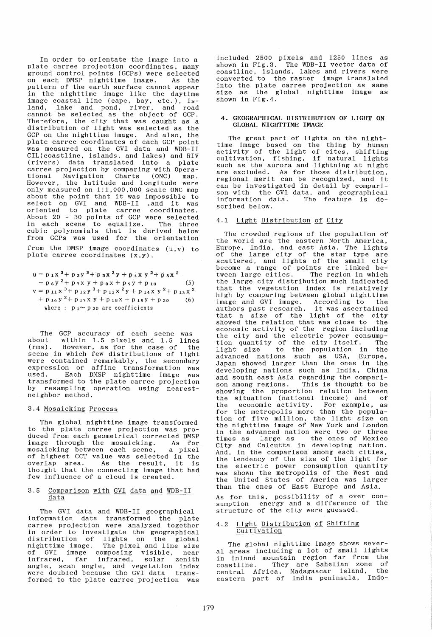In order to orientate the image into a plate carree projection coordinates, many ground control points (GCPs) were selected<br>on each DMSP nighttime image. As the on each DMSP nighttime image. pattern of the earth surface cannot appear in the nighttime image like the daytime image coastal line (cape, bay, etc.), isaland, lake and pond, river, and road cannot be selected as the object of GCP. Therefore, the city that was caught as a distribution of light was selected as the GCP on the nighttime image. And also, the plate carree coordinates of each GCP point was measured on the GVI data and WDB-II CIL(coastline, islands, and lakes) and RIV (rivers) data translated into a plate carree projection by comparing with Operaexisted projection by comparing nion opera<br>tional Navigation Charts (ONC) map.<br>However, the latitude and longitude were only measured on 1:1,000,000 scale ONC map about the point that it was impossible to about the point that it was impossible to<br>select on GVI and WDB-II ,and it was oriented to plate carree coordinates. About 20 - 30 points of GCP were selected in each scene to equalize. The three cubic polynomials that is derived below from GCPs was used for the orientation from the DMSP image coordinates (u,v) to plate carree coordinates (x,y).

$$
u = p_1 x^3 + p_2 y^3 + p_3 x^2 y + p_4 x y^2 + p_5 x^2
$$
  
+  $p_6 y^2 + p_7 x y + p_8 x + p_9 y + p_{10}$  (5)  
 $v = p_{11} x^3 + p_{12} y^3 + p_{13} x^2 y + p_{14} x y^2 + p_{15} x^2$   
+  $p_{16} y^2 + p_{17} x y + p_{18} x + p_{19} y + p_{20}$  (6)  
where :  $p_1 \sim p_{20}$  are coefficients

The GCP accuracy of each scene was<br>about within 1.5 pixels and 1.5 lines<br>(rms). However, as for the case of the However, as for the case of scene in which few distributions of light were contained remarkably, the secondary expression or affine transformation was used. Each DMSP nighttime image was transformed to the plate carree projection by resampling operation using nearestneighbor method.

#### 3.4 Mosaicking Process

The global nighttime image transformed to the plate carree projection was produced from each geometrical corrected DMSP<br>image through the mosaicking. As for image through the mosaicking. As for mosaicking between each scene, of highest CCT value was selected in the overlap area. As the result, it is thought that the connecting image that had few influence of a cloud is created.

#### 3.5 Comparison with GVI data and WDB-II data

The GVI data and WDB-II geographical information data transformed the plate carree projection were analyzed together in order to investigate the geographical distribution of lights on the global nighttime image. The pixel and line size of GVI image composing visible, near infrared, far infrared, solar zenith angle, scan angle, and vegetation index were doubled because the GVI data transformed to the plate carree projection was

included 2500 pixels and 1250 lines as shown in Fig.3. The WDB-II vector data of coastline, islands, lakes and rivers were converted to the raster image translated into the plate carree projection as same size as the global nighttime image as shown in Fig.4.

#### 4. GEOGRAPHICAL DISTRIBUTION OF LIGHT ON GLOBAL NIGHTTIME IMAGE

The great part of lights on the nighttime image based on the thing by human<br>activity of the light of cites, shifting<br>cultivation, fishing, if natural lights such as the aurora and lightning at night are excluded. As for those distribution, regional meri t can be recognized, and it can be investigated in detail by comparican be investigated in detail by compari-<br>son with the GVI data, and geographical<br>information data. The feature is deinformation data. scribed below.

#### 4.1 Light Distribution of City

The crowded regions of the population of the world are the eastern North America, ence worrd are one eastern for on namelica, of the large city of the star type are scattered, and lights of the small city become a range of points are linked be-tween large cities. The region in which the large city distribution much indicated that the vegetation index is relatively high by comparing between global nighttime<br>image and GVI image. According to the image and GVI image. According to image and GVI image. According to the<br>authors past research, it was ascertained that a size of the light of the city showed the relation that was close to the economic activity of the region including the city and the electric power consumption quantity of the city itself. The light size to the population in the advanced nations such as USA. Europe, Japan showed larger than the ones in the developing nations such as India. China and south east Asia regarding the compari-<br>son among regions. This is thought to be son among regions. This is thought to be showing the proportion relation between the situation (national income) and of the economic activity. For example, as for the metropolis more than the population of five million, the light size on the nighttime image of New York and London in the advanced nation were two or three times as large as the ones of Mexico Ci ty and Calcutta in developing nation. And in the comparison among each cities, the tendency of the size of the light for the electric power consumption quantity was shown the metropolis of the West and the United States of America was larger than the ones of East Europe and Asia.

As for this, possibility of a over consumption energy and a difference of the sumption cherg, and a difference

#### 4.2 Light Distribution of Shifting Cultivation

The global nighttime image shows several areas including a lot of small lights in inland mountain region far from the coastline. They are Sahelian zone of central Africa, Madagascar island, the eastern part of India peninsula, Indo-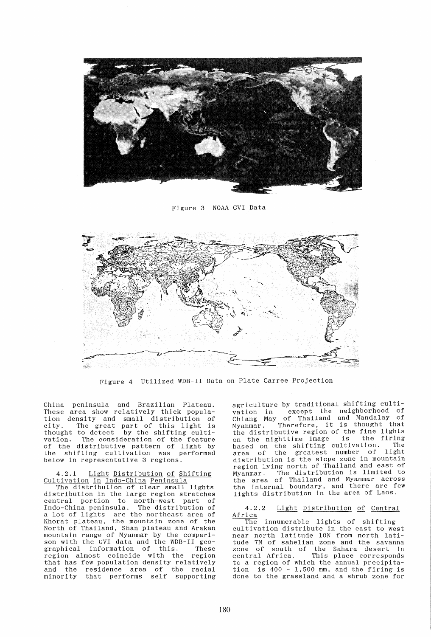

Figure 3 NOAA GVI Data



Figure 4 Utilized WDB-II Data on Plate Carree Projection

China peninsula and Brazilian Plateau. These area show relatively thick population density and small distribution of city. The great part of this light is thought to detect by the shifting cultivation. The consideration of the feature of the distributive pattern of light by the shifting cUltivation was performed below in representative 3 regions.

4.2.1 Light Distribution of Shifting Cultivation in Indo-China Peninsula

The distribution of clear small lights distribution in the large region stretches central portion to north-west part of Indo-China peninsula. The distribution of a lot of lights are the northeast area of Khorat plateau, the mountain zone of the North of Thailand, Shan plateau and Arakan mountain range of Myanmar by the comparison with the GVI data and the WDB-II geo-graphical information of this. These region almost coincide with the region that has few population density relatively and the residence area of the racial minority that performs self supporting agriculture by traditional shifting cultivation in except the neighborhood of Chiang May of Thailand and Mandalay of Myanmar. Therefore. it is thought that the distributive region of the fine lights on the nighttime image is the firing on the highttime image is the fifting<br>based on the shifting cultivation. The passed on the shirting careful area distribution is the slope zone in mountain region lying north of Thailand and east of Myanmar. The distribution is limi ted to the area of Thailand and Myanmar across the internal boundary, and there are few lights distribution in the area of Laos.

# 4.2.2 Light Distribution of Central Africa

innumerable lights of shifting cUltivation distribute in the east to west cultivation distribute in the east to west<br>near north latitude 10N from north latitude 7N of sahelian zone and the savanna zone of south of the Sahara desert in zone of south of the Sahara desert in<br>central Africa. This place corresponds to a region of which the annual precipitation is 400 - 1,500 mm, and the firing is done to the grassland and a shrub zone for